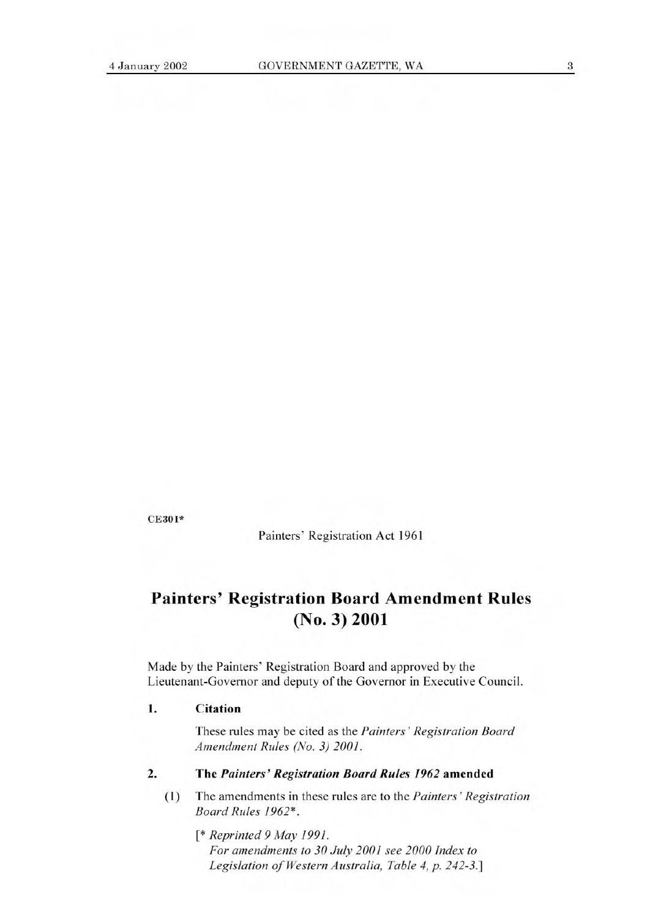CE301\*

Painters' Registration Act 1961

## **Painters' Registration Board Amendment Rules (No. 3) 2001**

Made by the Painters' Registration Board and approved by the Lieutenant-Governor and deputy of the Governor in Executive Council.

## **1. Citation**

These rules may be cited as the *Painters' Registration Board Amendment Rules (No. 3) 2001.* 

## **2. The** *Painters' Registration Board Rules 1962* amended

**(1)** The amendments in these rules are to the *Painters' Registration Board Rules 1962\*.* 

*[\* Reprinted 9 May 1991. For amendments to 30 July 2001 see 2000 Index to Legislation of Western Australia, Table 4, p. 242-3.]*